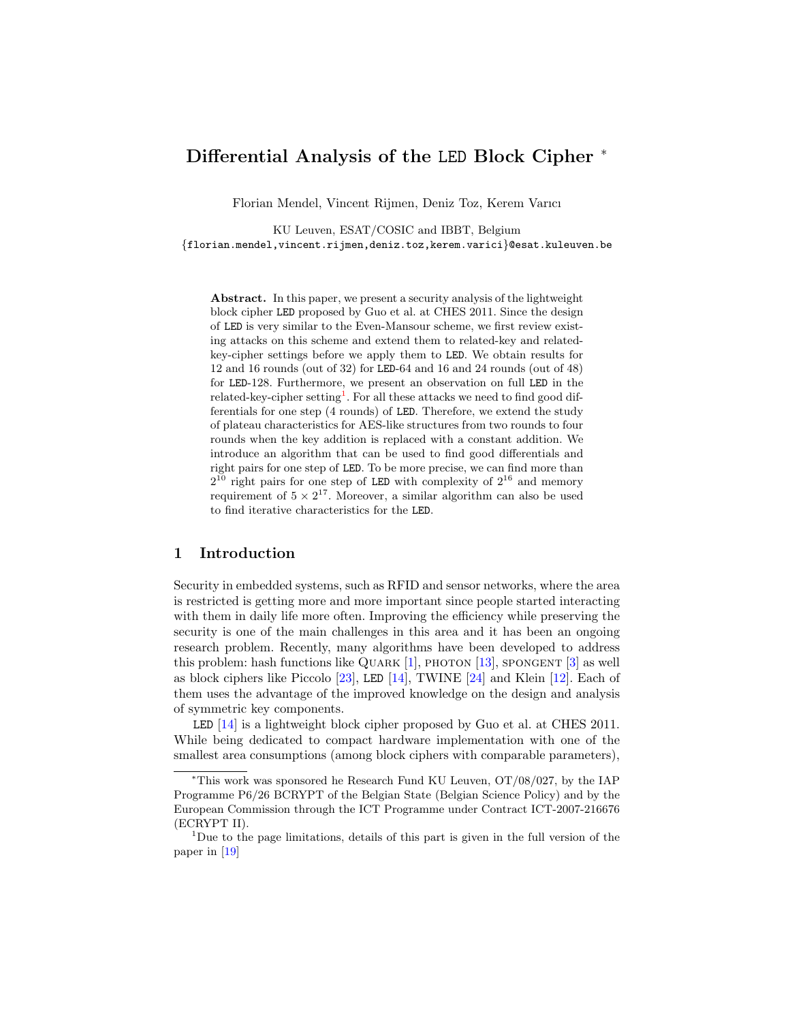# Differential Analysis of the LED Block Cipher <sup>∗</sup>

Florian Mendel, Vincent Rijmen, Deniz Toz, Kerem Varıcı

KU Leuven, ESAT/COSIC and IBBT, Belgium {florian.mendel,vincent.rijmen,deniz.toz,kerem.varici}@esat.kuleuven.be

Abstract. In this paper, we present a security analysis of the lightweight block cipher LED proposed by Guo et al. at CHES 2011. Since the design of LED is very similar to the Even-Mansour scheme, we first review existing attacks on this scheme and extend them to related-key and relatedkey-cipher settings before we apply them to LED. We obtain results for 12 and 16 rounds (out of 32) for LED-64 and 16 and 24 rounds (out of 48) for LED-128. Furthermore, we present an observation on full LED in the related-key-cipher setting<sup>[1](#page-0-0)</sup>. For all these attacks we need to find good differentials for one step (4 rounds) of LED. Therefore, we extend the study of plateau characteristics for AES-like structures from two rounds to four rounds when the key addition is replaced with a constant addition. We introduce an algorithm that can be used to find good differentials and right pairs for one step of LED. To be more precise, we can find more than  $2^{10}$  right pairs for one step of LED with complexity of  $2^{16}$  and memory requirement of  $5 \times 2^{17}$ . Moreover, a similar algorithm can also be used to find iterative characteristics for the LED.

## 1 Introduction

Security in embedded systems, such as RFID and sensor networks, where the area is restricted is getting more and more important since people started interacting with them in daily life more often. Improving the efficiency while preserving the security is one of the main challenges in this area and it has been an ongoing research problem. Recently, many algorithms have been developed to address this problem: hash functions like QUARK  $[1]$ , PHOTON  $[13]$ , SPONGENT  $[3]$  as well as block ciphers like Piccolo [\[23\]](#page-17-1), LED [\[14\]](#page-17-2), TWINE [\[24\]](#page-17-3) and Klein [\[12\]](#page-17-4). Each of them uses the advantage of the improved knowledge on the design and analysis of symmetric key components.

LED [\[14\]](#page-17-2) is a lightweight block cipher proposed by Guo et al. at CHES 2011. While being dedicated to compact hardware implementation with one of the smallest area consumptions (among block ciphers with comparable parameters),

<sup>∗</sup>This work was sponsored he Research Fund KU Leuven, OT/08/027, by the IAP Programme P6/26 BCRYPT of the Belgian State (Belgian Science Policy) and by the European Commission through the ICT Programme under Contract ICT-2007-216676 (ECRYPT II).

<span id="page-0-0"></span> $1$ Due to the page limitations, details of this part is given in the full version of the paper in [\[19\]](#page-17-5)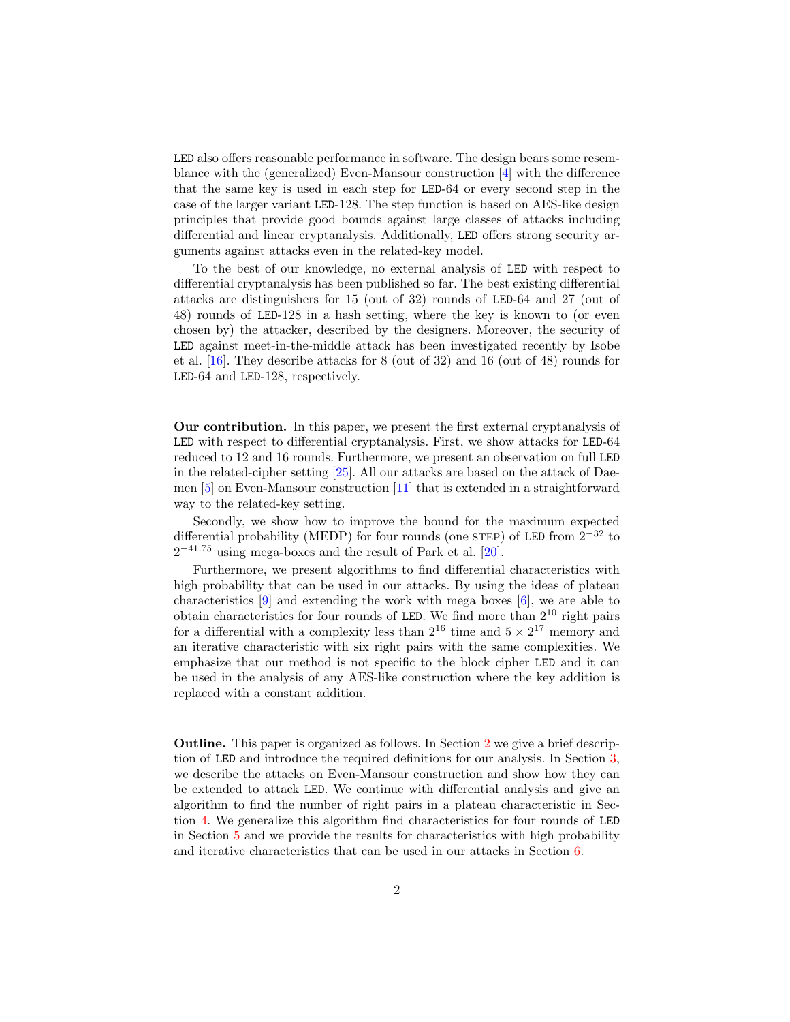LED also offers reasonable performance in software. The design bears some resemblance with the (generalized) Even-Mansour construction [\[4\]](#page-16-2) with the difference that the same key is used in each step for LED-64 or every second step in the case of the larger variant LED-128. The step function is based on AES-like design principles that provide good bounds against large classes of attacks including differential and linear cryptanalysis. Additionally, LED offers strong security arguments against attacks even in the related-key model.

To the best of our knowledge, no external analysis of LED with respect to differential cryptanalysis has been published so far. The best existing differential attacks are distinguishers for 15 (out of 32) rounds of LED-64 and 27 (out of 48) rounds of LED-128 in a hash setting, where the key is known to (or even chosen by) the attacker, described by the designers. Moreover, the security of LED against meet-in-the-middle attack has been investigated recently by Isobe et al. [\[16\]](#page-17-6). They describe attacks for 8 (out of 32) and 16 (out of 48) rounds for LED-64 and LED-128, respectively.

Our contribution. In this paper, we present the first external cryptanalysis of LED with respect to differential cryptanalysis. First, we show attacks for LED-64 reduced to 12 and 16 rounds. Furthermore, we present an observation on full LED in the related-cipher setting [\[25\]](#page-17-7). All our attacks are based on the attack of Daemen [\[5\]](#page-16-3) on Even-Mansour construction [\[11\]](#page-17-8) that is extended in a straightforward way to the related-key setting.

Secondly, we show how to improve the bound for the maximum expected differential probability (MEDP) for four rounds (one STEP) of LED from  $2^{-32}$  to  $2^{-41.75}$  using mega-boxes and the result of Park et al. [\[20\]](#page-17-9).

Furthermore, we present algorithms to find differential characteristics with high probability that can be used in our attacks. By using the ideas of plateau characteristics [\[9\]](#page-17-10) and extending the work with mega boxes [\[6\]](#page-16-4), we are able to obtain characteristics for four rounds of LED. We find more than  $2^{10}$  right pairs for a differential with a complexity less than  $2^{16}$  time and  $5 \times 2^{17}$  memory and an iterative characteristic with six right pairs with the same complexities. We emphasize that our method is not specific to the block cipher LED and it can be used in the analysis of any AES-like construction where the key addition is replaced with a constant addition.

Outline. This paper is organized as follows. In Section [2](#page-2-0) we give a brief description of LED and introduce the required definitions for our analysis. In Section [3,](#page-3-0) we describe the attacks on Even-Mansour construction and show how they can be extended to attack LED. We continue with differential analysis and give an algorithm to find the number of right pairs in a plateau characteristic in Section [4.](#page-7-0) We generalize this algorithm find characteristics for four rounds of LED in Section [5](#page-11-0) and we provide the results for characteristics with high probability and iterative characteristics that can be used in our attacks in Section [6.](#page-12-0)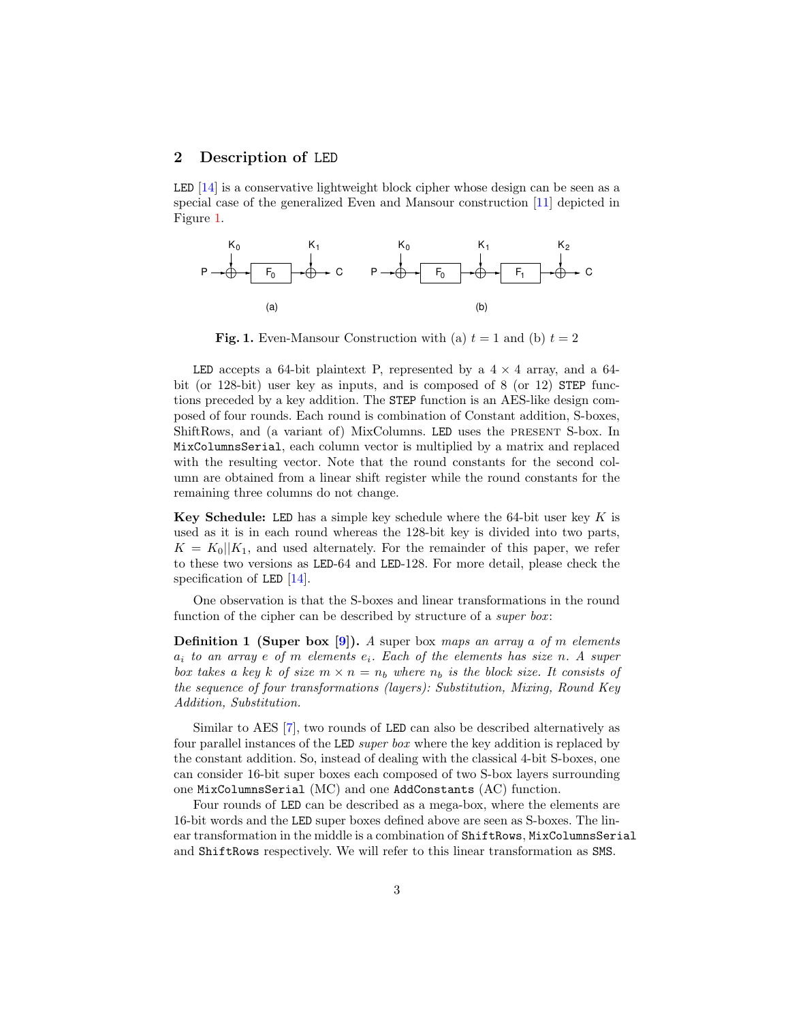## <span id="page-2-0"></span>2 Description of LED

LED [\[14\]](#page-17-2) is a conservative lightweight block cipher whose design can be seen as a special case of the generalized Even and Mansour construction [\[11\]](#page-17-8) depicted in Figure [1.](#page-2-1)



<span id="page-2-1"></span>Fig. 1. Even-Mansour Construction with (a)  $t = 1$  and (b)  $t = 2$ 

LED accepts a 64-bit plaintext P, represented by a  $4 \times 4$  array, and a 64bit (or 128-bit) user key as inputs, and is composed of 8 (or 12) STEP functions preceded by a key addition. The STEP function is an AES-like design composed of four rounds. Each round is combination of Constant addition, S-boxes, ShiftRows, and (a variant of) MixColumns. LED uses the present S-box. In MixColumnsSerial, each column vector is multiplied by a matrix and replaced with the resulting vector. Note that the round constants for the second column are obtained from a linear shift register while the round constants for the remaining three columns do not change.

Key Schedule: LED has a simple key schedule where the 64-bit user key  $K$  is used as it is in each round whereas the 128-bit key is divided into two parts,  $K = K_0||K_1$ , and used alternately. For the remainder of this paper, we refer to these two versions as LED-64 and LED-128. For more detail, please check the specification of LED  $[14]$ .

One observation is that the S-boxes and linear transformations in the round function of the cipher can be described by structure of a *super box*:

**Definition 1 (Super box [\[9\]](#page-17-10)).** A super box maps an array a of m elements  $a_i$  to an array e of m elements  $e_i$ . Each of the elements has size n. A super box takes a key k of size  $m \times n = n_b$  where  $n_b$  is the block size. It consists of the sequence of four transformations (layers): Substitution, Mixing, Round Key Addition, Substitution.

Similar to AES [\[7\]](#page-16-5), two rounds of LED can also be described alternatively as four parallel instances of the LED super box where the key addition is replaced by the constant addition. So, instead of dealing with the classical 4-bit S-boxes, one can consider 16-bit super boxes each composed of two S-box layers surrounding one MixColumnsSerial (MC) and one AddConstants (AC) function.

Four rounds of LED can be described as a mega-box, where the elements are 16-bit words and the LED super boxes defined above are seen as S-boxes. The linear transformation in the middle is a combination of ShiftRows, MixColumnsSerial and ShiftRows respectively. We will refer to this linear transformation as SMS.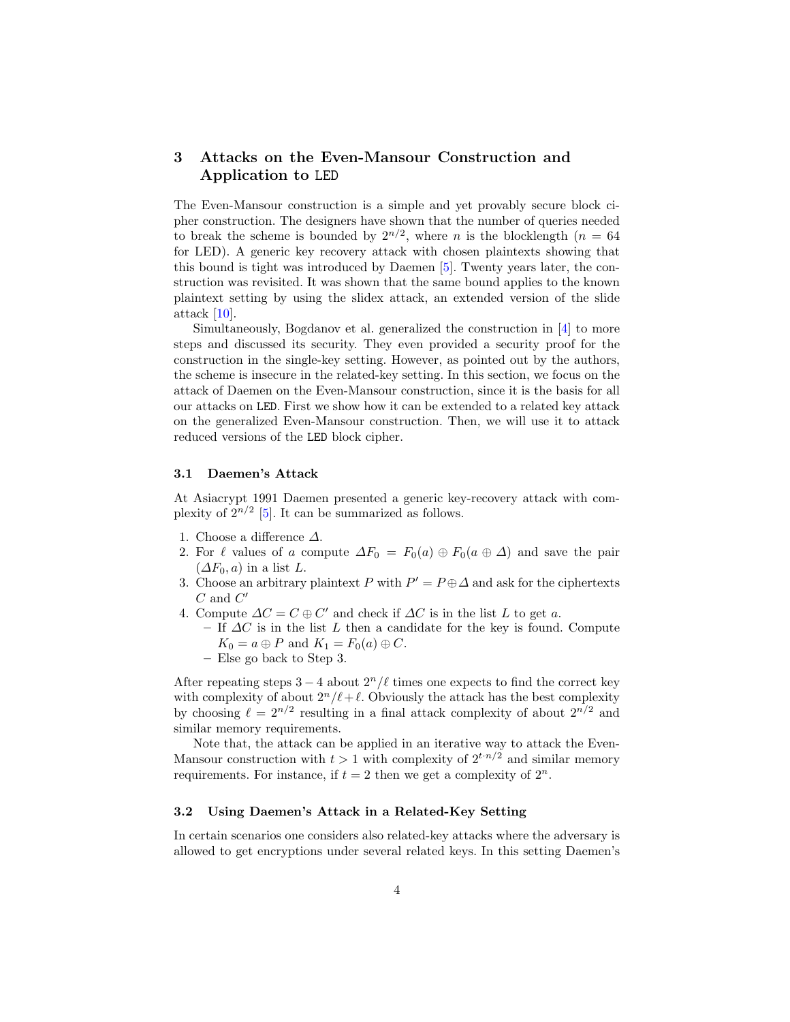# <span id="page-3-0"></span>3 Attacks on the Even-Mansour Construction and Application to LED

The Even-Mansour construction is a simple and yet provably secure block cipher construction. The designers have shown that the number of queries needed to break the scheme is bounded by  $2^{n/2}$ , where *n* is the blocklength (*n* = 64 for LED). A generic key recovery attack with chosen plaintexts showing that this bound is tight was introduced by Daemen [\[5\]](#page-16-3). Twenty years later, the construction was revisited. It was shown that the same bound applies to the known plaintext setting by using the slidex attack, an extended version of the slide attack [\[10\]](#page-17-11).

Simultaneously, Bogdanov et al. generalized the construction in [\[4\]](#page-16-2) to more steps and discussed its security. They even provided a security proof for the construction in the single-key setting. However, as pointed out by the authors, the scheme is insecure in the related-key setting. In this section, we focus on the attack of Daemen on the Even-Mansour construction, since it is the basis for all our attacks on LED. First we show how it can be extended to a related key attack on the generalized Even-Mansour construction. Then, we will use it to attack reduced versions of the LED block cipher.

#### 3.1 Daemen's Attack

At Asiacrypt 1991 Daemen presented a generic key-recovery attack with complexity of  $2^{n/2}$  [\[5\]](#page-16-3). It can be summarized as follows.

- 1. Choose a difference  $\Delta$ .
- 2. For  $\ell$  values of a compute  $\Delta F_0 = F_0(a) \oplus F_0(a \oplus \Delta)$  and save the pair  $(\Delta F_0, a)$  in a list L.
- 3. Choose an arbitrary plaintext P with  $P' = P \oplus \Delta$  and ask for the ciphertexts  $C$  and  $C'$
- 4. Compute  $\Delta C = C \oplus C'$  and check if  $\Delta C$  is in the list L to get a.
	- If  $\Delta C$  is in the list L then a candidate for the key is found. Compute  $K_0 = a \oplus P$  and  $K_1 = F_0(a) \oplus C$ .
	- Else go back to Step 3.

After repeating steps  $3 - 4$  about  $2<sup>n</sup>/\ell$  times one expects to find the correct key with complexity of about  $2^n/\ell+\ell$ . Obviously the attack has the best complexity by choosing  $\ell = 2^{n/2}$  resulting in a final attack complexity of about  $2^{n/2}$  and similar memory requirements.

Note that, the attack can be applied in an iterative way to attack the Even-Mansour construction with  $t > 1$  with complexity of  $2^{t \cdot n/2}$  and similar memory requirements. For instance, if  $t = 2$  then we get a complexity of  $2^n$ .

#### 3.2 Using Daemen's Attack in a Related-Key Setting

In certain scenarios one considers also related-key attacks where the adversary is allowed to get encryptions under several related keys. In this setting Daemen's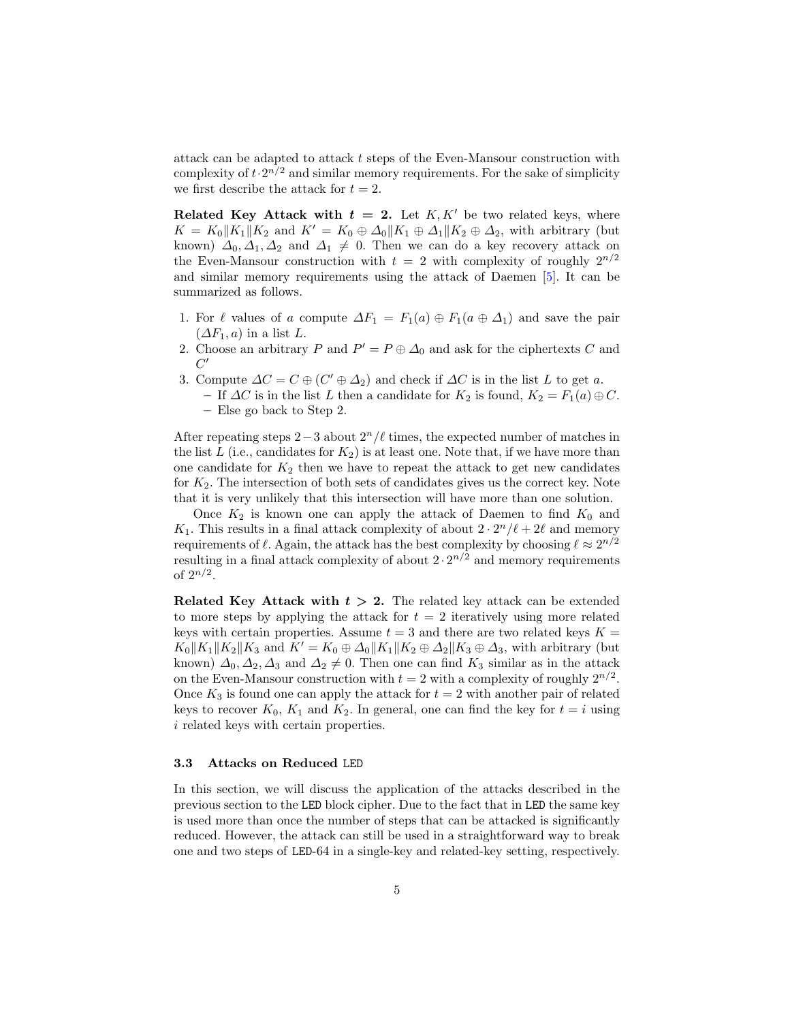attack can be adapted to attack t steps of the Even-Mansour construction with complexity of  $t \cdot 2^{n/2}$  and similar memory requirements. For the sake of simplicity we first describe the attack for  $t = 2$ .

**Related Key Attack with**  $t = 2$ **.** Let K, K' be two related keys, where  $K = K_0||K_1||K_2$  and  $K' = K_0 \oplus \Delta_0||K_1 \oplus \Delta_1||K_2 \oplus \Delta_2$ , with arbitrary (but known)  $\Delta_0$ ,  $\Delta_1$ ,  $\Delta_2$  and  $\Delta_1 \neq 0$ . Then we can do a key recovery attack on the Even-Mansour construction with  $t = 2$  with complexity of roughly  $2^{n/2}$ and similar memory requirements using the attack of Daemen [\[5\]](#page-16-3). It can be summarized as follows.

- 1. For  $\ell$  values of a compute  $\Delta F_1 = F_1(a) \oplus F_1(a \oplus \Delta_1)$  and save the pair  $(\Delta F_1, a)$  in a list L.
- 2. Choose an arbitrary P and  $P' = P \oplus \Delta_0$  and ask for the ciphertexts C and  $C'$
- 3. Compute  $\Delta C = C \oplus (C' \oplus \Delta_2)$  and check if  $\Delta C$  is in the list L to get a.
	- If  $\Delta C$  is in the list L then a candidate for  $K_2$  is found,  $K_2 = F_1(a) \oplus C$ . – Else go back to Step 2.

After repeating steps  $2-3$  about  $2<sup>n</sup>/\ell$  times, the expected number of matches in the list L (i.e., candidates for  $K_2$ ) is at least one. Note that, if we have more than one candidate for  $K_2$  then we have to repeat the attack to get new candidates for  $K_2$ . The intersection of both sets of candidates gives us the correct key. Note that it is very unlikely that this intersection will have more than one solution.

Once  $K_2$  is known one can apply the attack of Daemen to find  $K_0$  and  $K_1$ . This results in a final attack complexity of about  $2 \cdot 2^n / \ell + 2\ell$  and memory requirements of  $\ell$ . Again, the attack has the best complexity by choosing  $\ell \approx 2^{n/2}$ resulting in a final attack complexity of about  $2 \cdot 2^{n/2}$  and memory requirements of  $2^{n/2}$ .

Related Key Attack with  $t > 2$ . The related key attack can be extended to more steps by applying the attack for  $t = 2$  iteratively using more related keys with certain properties. Assume  $t = 3$  and there are two related keys  $K =$  $K_0||K_1||K_2||K_3$  and  $K' = K_0 \oplus \Delta_0||K_1||K_2 \oplus \Delta_2||K_3 \oplus \Delta_3$ , with arbitrary (but known)  $\Delta_0$ ,  $\Delta_2$ ,  $\Delta_3$  and  $\Delta_2 \neq 0$ . Then one can find K<sub>3</sub> similar as in the attack on the Even-Mansour construction with  $t = 2$  with a complexity of roughly  $2^{n/2}$ . Once  $K_3$  is found one can apply the attack for  $t = 2$  with another pair of related keys to recover  $K_0$ ,  $K_1$  and  $K_2$ . In general, one can find the key for  $t = i$  using i related keys with certain properties.

#### <span id="page-4-0"></span>3.3 Attacks on Reduced LED

In this section, we will discuss the application of the attacks described in the previous section to the LED block cipher. Due to the fact that in LED the same key is used more than once the number of steps that can be attacked is significantly reduced. However, the attack can still be used in a straightforward way to break one and two steps of LED-64 in a single-key and related-key setting, respectively.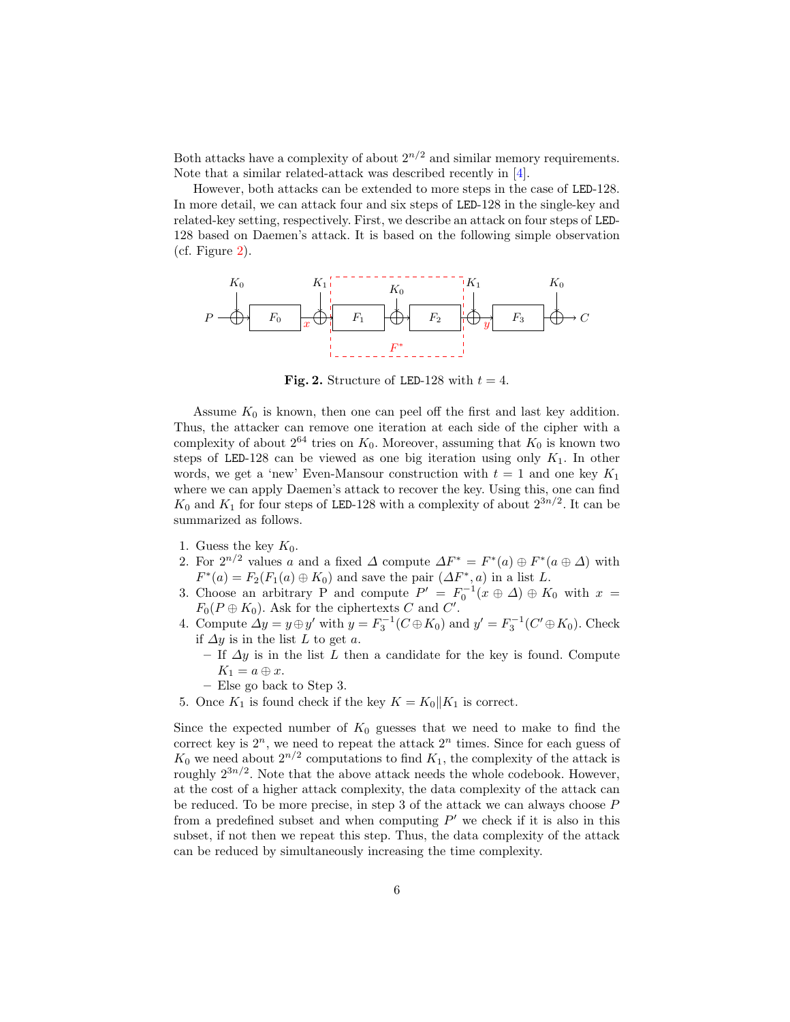Both attacks have a complexity of about  $2^{n/2}$  and similar memory requirements. Note that a similar related-attack was described recently in [\[4\]](#page-16-2).

However, both attacks can be extended to more steps in the case of LED-128. In more detail, we can attack four and six steps of LED-128 in the single-key and related-key setting, respectively. First, we describe an attack on four steps of LED-128 based on Daemen's attack. It is based on the following simple observation (cf. Figure [2\)](#page-5-0).



<span id="page-5-0"></span>Fig. 2. Structure of LED-128 with  $t = 4$ .

Assume  $K_0$  is known, then one can peel off the first and last key addition. Thus, the attacker can remove one iteration at each side of the cipher with a complexity of about  $2^{64}$  tries on  $K_0$ . Moreover, assuming that  $K_0$  is known two steps of LED-128 can be viewed as one big iteration using only  $K_1$ . In other words, we get a 'new' Even-Mansour construction with  $t = 1$  and one key  $K_1$ where we can apply Daemen's attack to recover the key. Using this, one can find  $K_0$  and  $K_1$  for four steps of LED-128 with a complexity of about  $2^{3n/2}$ . It can be summarized as follows.

- 1. Guess the key  $K_0$ .
- 2. For  $2^{n/2}$  values a and a fixed  $\Delta$  compute  $\Delta F^* = F^*(a) \oplus F^*(a \oplus \Delta)$  with  $F^*(a) = F_2(F_1(a) \oplus K_0)$  and save the pair  $(\Delta F^*, a)$  in a list L.
- 3. Choose an arbitrary P and compute  $P' = F_0^{-1}(x \oplus \Delta) \oplus K_0$  with  $x =$  $F_0(P \oplus K_0)$ . Ask for the ciphertexts C and C'.
- 4. Compute  $\Delta y = y \oplus y'$  with  $y = F_3^{-1}(C \oplus K_0)$  and  $y' = F_3^{-1}(C' \oplus K_0)$ . Check if  $\Delta y$  is in the list L to get a.
	- If  $\Delta y$  is in the list L then a candidate for the key is found. Compute  $K_1 = a \oplus x$ .
	- Else go back to Step 3.
- 5. Once  $K_1$  is found check if the key  $K = K_0 || K_1$  is correct.

Since the expected number of  $K_0$  guesses that we need to make to find the correct key is  $2^n$ , we need to repeat the attack  $2^n$  times. Since for each guess of  $K_0$  we need about  $2^{n/2}$  computations to find  $K_1$ , the complexity of the attack is roughly  $2^{3n/2}$ . Note that the above attack needs the whole codebook. However, at the cost of a higher attack complexity, the data complexity of the attack can be reduced. To be more precise, in step 3 of the attack we can always choose P from a predefined subset and when computing  $P'$  we check if it is also in this subset, if not then we repeat this step. Thus, the data complexity of the attack can be reduced by simultaneously increasing the time complexity.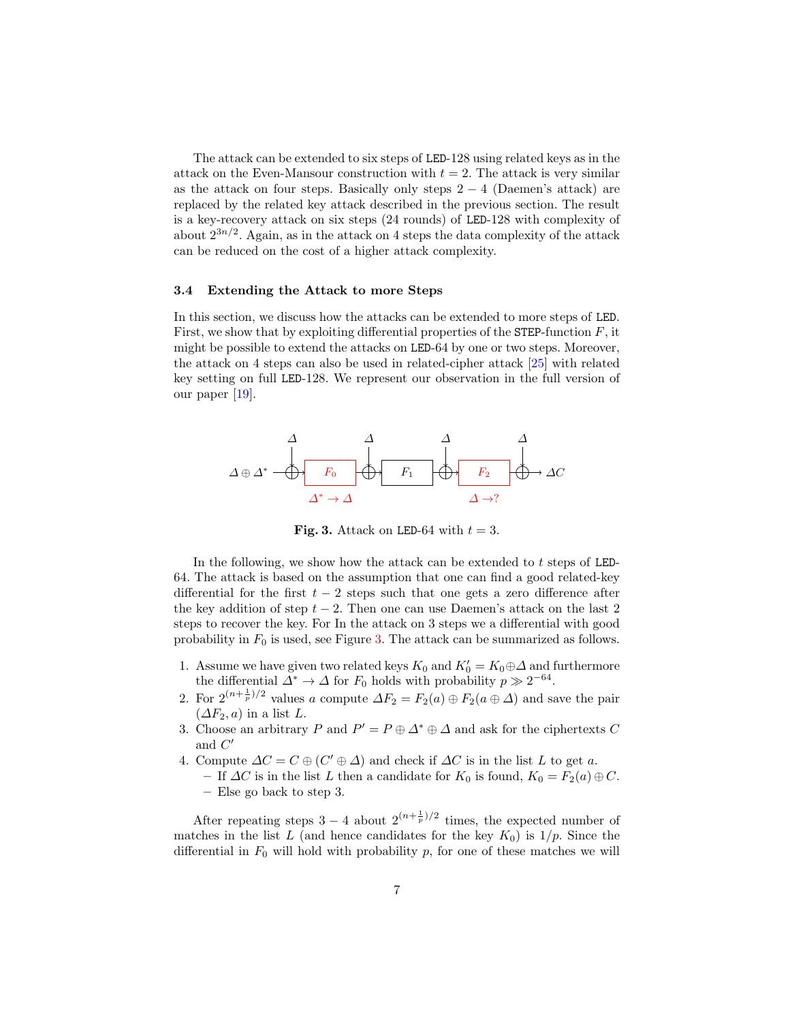The attack can be extended to six steps of LED-128 using related keys as in the attack on the Even-Mansour construction with  $t = 2$ . The attack is very similar as the attack on four steps. Basically only steps  $2 - 4$  (Daemen's attack) are replaced by the related key attack described in the previous section. The result is a key-recovery attack on six steps (24 rounds) of LED-128 with complexity of about  $2^{3n/2}$ . Again, as in the attack on 4 steps the data complexity of the attack can be reduced on the cost of a higher attack complexity.

#### <span id="page-6-1"></span>3.4 Extending the Attack to more Steps

In this section, we discuss how the attacks can be extended to more steps of LED. First, we show that by exploiting differential properties of the STEP-function  $F$ , it might be possible to extend the attacks on LED-64 by one or two steps. Moreover, the attack on 4 steps can also be used in related-cipher attack [\[25\]](#page-17-7) with related key setting on full LED-128. We represent our observation in the full version of our paper [\[19\]](#page-17-5).



<span id="page-6-0"></span>Fig. 3. Attack on LED-64 with  $t = 3$ .

In the following, we show how the attack can be extended to t steps of LED-64. The attack is based on the assumption that one can find a good related-key differential for the first  $t - 2$  steps such that one gets a zero difference after the key addition of step  $t - 2$ . Then one can use Daemen's attack on the last 2 steps to recover the key. For In the attack on 3 steps we a differential with good probability in  $F_0$  is used, see Figure [3.](#page-6-0) The attack can be summarized as follows.

- 1. Assume we have given two related keys  $K_0$  and  $K_0' = K_0 \oplus \Delta$  and furthermore the differential  $\Delta^* \to \Delta$  for  $F_0$  holds with probability  $p \gg 2^{-64}$ .
- 2. For  $2^{(n+\frac{1}{p})/2}$  values a compute  $\Delta F_2 = F_2(a) \oplus F_2(a \oplus \Delta)$  and save the pair  $(\Delta F_2, a)$  in a list L.
- 3. Choose an arbitrary P and  $P' = P \oplus \Delta^* \oplus \Delta$  and ask for the ciphertexts C and  $C'$
- 4. Compute  $\Delta C = C \oplus (C' \oplus \Delta)$  and check if  $\Delta C$  is in the list L to get a.
	- If  $\Delta C$  is in the list L then a candidate for  $K_0$  is found,  $K_0 = F_2(a) \oplus C$ . – Else go back to step 3.

After repeating steps 3 – 4 about  $2^{(n+\frac{1}{p})/2}$  times, the expected number of matches in the list L (and hence candidates for the key  $K_0$ ) is  $1/p$ . Since the differential in  $F_0$  will hold with probability  $p$ , for one of these matches we will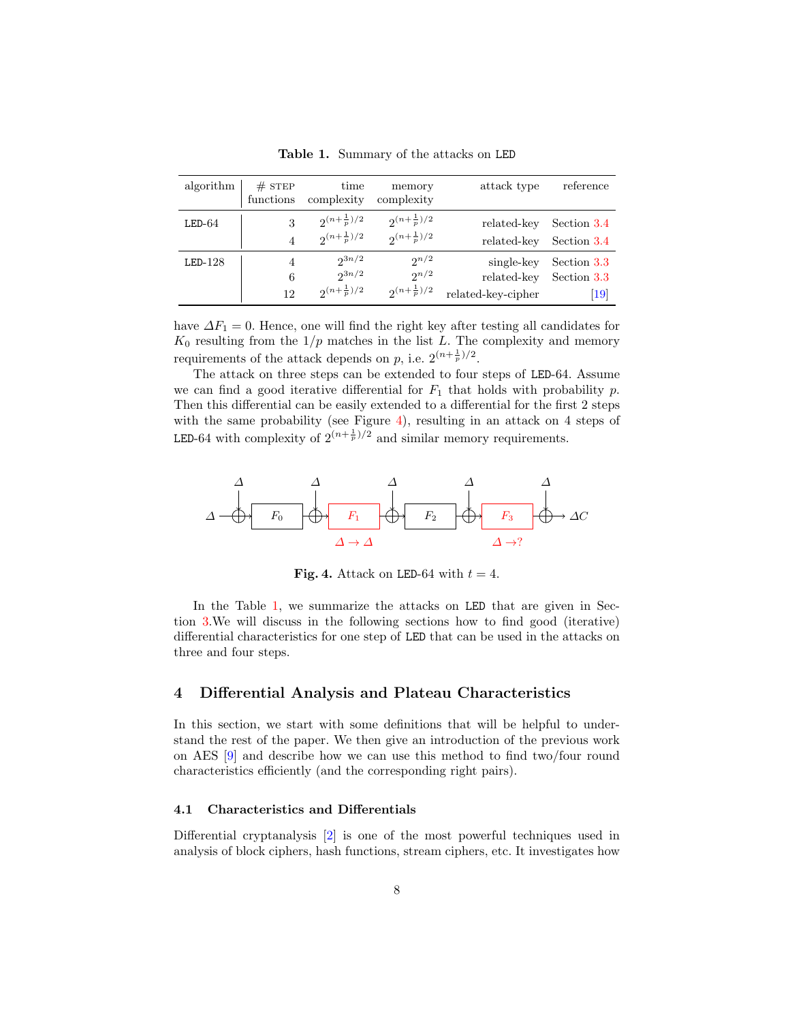| algorithm | $#$ STEP<br>functions | time<br>complexity      | memory<br>complexity    | attack type        | reference   |
|-----------|-----------------------|-------------------------|-------------------------|--------------------|-------------|
| $LED-64$  | 3                     | $2^{(n+\frac{1}{p})/2}$ | $2^{(n+\frac{1}{p})/2}$ | related-key        | Section 3.4 |
|           | $\overline{4}$        | $2^{(n+\frac{1}{p})/2}$ | $2^{(n+\frac{1}{p})/2}$ | related-key        | Section 3.4 |
| $LED-128$ | 4                     | $2^{3n/2}$              | $2^{n/2}$               | single-key         | Section 3.3 |
|           | 6                     | $2^{3n/2}$              | $2^{n/2}$               | related-key        | Section 3.3 |
|           | 12                    | $2^{(n+\frac{1}{p})/2}$ | $2^{(n+\frac{1}{p})/2}$ | related-key-cipher | 19          |

<span id="page-7-2"></span>Table 1. Summary of the attacks on LED

have  $\Delta F_1 = 0$ . Hence, one will find the right key after testing all candidates for  $K_0$  resulting from the  $1/p$  matches in the list L. The complexity and memory requirements of the attack depends on p, i.e.  $2^{(n+\frac{1}{p})/2}$ .

The attack on three steps can be extended to four steps of LED-64. Assume we can find a good iterative differential for  $F_1$  that holds with probability p. Then this differential can be easily extended to a differential for the first 2 steps with the same probability (see Figure [4\)](#page-7-1), resulting in an attack on 4 steps of LED-64 with complexity of  $2^{(n+\frac{1}{p})/2}$  and similar memory requirements.



<span id="page-7-1"></span>Fig. 4. Attack on LED-64 with  $t = 4$ .

In the Table [1,](#page-7-2) we summarize the attacks on LED that are given in Section [3.](#page-3-0)We will discuss in the following sections how to find good (iterative) differential characteristics for one step of LED that can be used in the attacks on three and four steps.

## <span id="page-7-0"></span>4 Differential Analysis and Plateau Characteristics

In this section, we start with some definitions that will be helpful to understand the rest of the paper. We then give an introduction of the previous work on AES [\[9\]](#page-17-10) and describe how we can use this method to find two/four round characteristics efficiently (and the corresponding right pairs).

#### 4.1 Characteristics and Differentials

Differential cryptanalysis [\[2\]](#page-16-6) is one of the most powerful techniques used in analysis of block ciphers, hash functions, stream ciphers, etc. It investigates how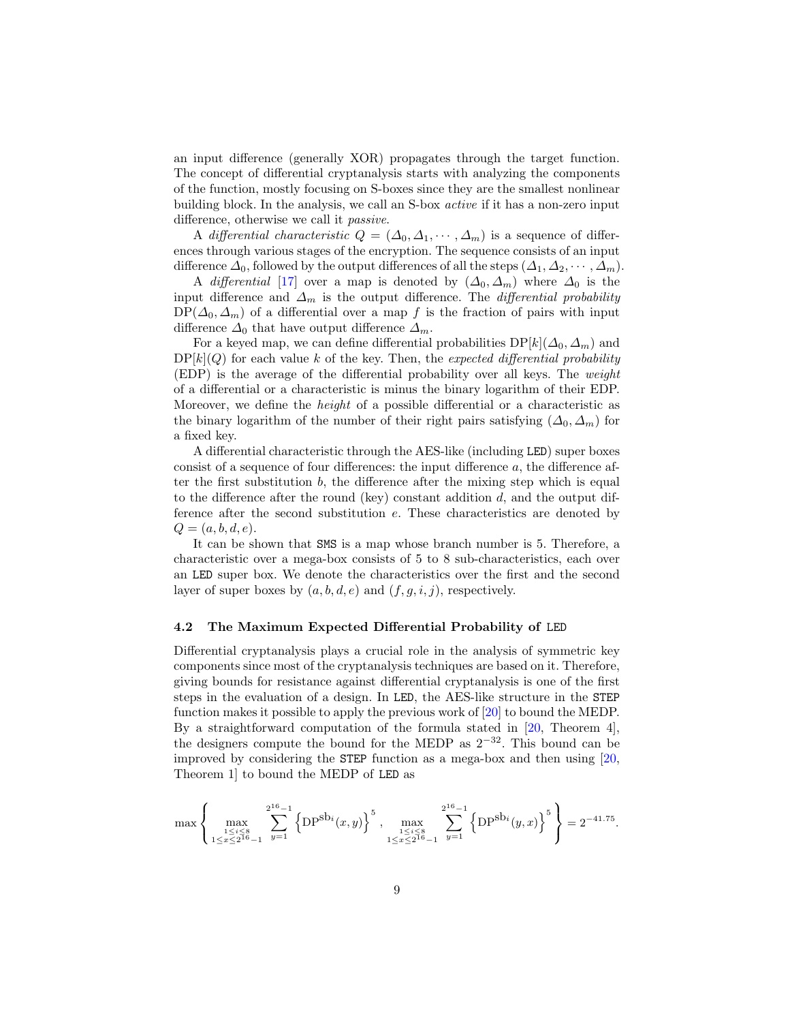an input difference (generally XOR) propagates through the target function. The concept of differential cryptanalysis starts with analyzing the components of the function, mostly focusing on S-boxes since they are the smallest nonlinear building block. In the analysis, we call an S-box active if it has a non-zero input difference, otherwise we call it passive.

A differential characteristic  $Q = (\Delta_0, \Delta_1, \cdots, \Delta_m)$  is a sequence of differences through various stages of the encryption. The sequence consists of an input difference  $\Delta_0$ , followed by the output differences of all the steps  $(\Delta_1, \Delta_2, \cdots, \Delta_m)$ .

A differential [\[17\]](#page-17-12) over a map is denoted by  $(\Delta_0, \Delta_m)$  where  $\Delta_0$  is the input difference and  $\Delta_m$  is the output difference. The *differential probability*  $DP(\Delta_0, \Delta_m)$  of a differential over a map f is the fraction of pairs with input difference  $\Delta_0$  that have output difference  $\Delta_m$ .

For a keyed map, we can define differential probabilities  $DP[k](\Delta_0, \Delta_m)$  and  $DP[k](Q)$  for each value k of the key. Then, the expected differential probability (EDP) is the average of the differential probability over all keys. The weight of a differential or a characteristic is minus the binary logarithm of their EDP. Moreover, we define the height of a possible differential or a characteristic as the binary logarithm of the number of their right pairs satisfying  $(\Delta_0, \Delta_m)$  for a fixed key.

A differential characteristic through the AES-like (including LED) super boxes consist of a sequence of four differences: the input difference a, the difference after the first substitution  $b$ , the difference after the mixing step which is equal to the difference after the round (key) constant addition  $d$ , and the output difference after the second substitution e. These characteristics are denoted by  $Q = (a, b, d, e).$ 

It can be shown that SMS is a map whose branch number is 5. Therefore, a characteristic over a mega-box consists of 5 to 8 sub-characteristics, each over an LED super box. We denote the characteristics over the first and the second layer of super boxes by  $(a, b, d, e)$  and  $(f, g, i, j)$ , respectively.

#### 4.2 The Maximum Expected Differential Probability of LED

Differential cryptanalysis plays a crucial role in the analysis of symmetric key components since most of the cryptanalysis techniques are based on it. Therefore, giving bounds for resistance against differential cryptanalysis is one of the first steps in the evaluation of a design. In LED, the AES-like structure in the STEP function makes it possible to apply the previous work of [\[20\]](#page-17-9) to bound the MEDP. By a straightforward computation of the formula stated in [\[20,](#page-17-9) Theorem 4], the designers compute the bound for the MEDP as  $2^{-32}$ . This bound can be improved by considering the STEP function as a mega-box and then using [\[20,](#page-17-9) Theorem 1] to bound the MEDP of LED as

$$
\max\left\{\max_{\substack{1 \leq i \leq 8 \\ 1 \leq x \leq 2^{16}-1}} \sum_{y=1}^{2^{16}-1} \left\{\text{DP}^{\text{Sb}_i}(x,y)\right\}^5, \max_{\substack{1 \leq i \leq 8 \\ 1 \leq x \leq 2^{16}-1}} \sum_{y=1}^{2^{16}-1} \left\{\text{DP}^{\text{Sb}_i}(y,x)\right\}^5\right\} = 2^{-41.75}.
$$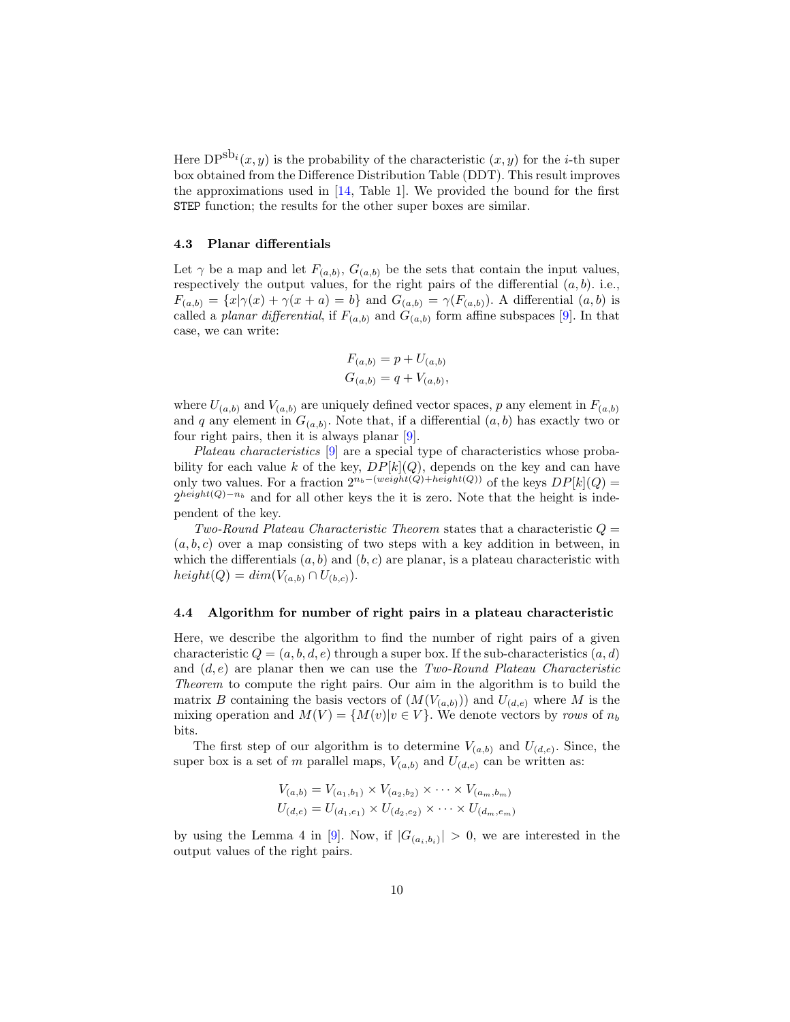Here  $DP^{sbi}(x, y)$  is the probability of the characteristic  $(x, y)$  for the *i*-th super box obtained from the Difference Distribution Table (DDT). This result improves the approximations used in [\[14,](#page-17-2) Table 1]. We provided the bound for the first STEP function; the results for the other super boxes are similar.

#### 4.3 Planar differentials

Let  $\gamma$  be a map and let  $F_{(a,b)}, G_{(a,b)}$  be the sets that contain the input values, respectively the output values, for the right pairs of the differential  $(a, b)$ . i.e.,  $F_{(a,b)} = \{x | \gamma(x) + \gamma(x+a) = b\}$  and  $G_{(a,b)} = \gamma(F_{(a,b)})$ . A differential  $(a, b)$  is called a *planar differential*, if  $F_{(a,b)}$  and  $G_{(a,b)}$  form affine subspaces [\[9\]](#page-17-10). In that case, we can write:

$$
F_{(a,b)} = p + U_{(a,b)}
$$
  

$$
G_{(a,b)} = q + V_{(a,b)},
$$

where  $U_{(a,b)}$  and  $V_{(a,b)}$  are uniquely defined vector spaces, p any element in  $F_{(a,b)}$ and q any element in  $G_{(a,b)}$ . Note that, if a differential  $(a, b)$  has exactly two or four right pairs, then it is always planar  $[9]$ .

Plateau characteristics [\[9\]](#page-17-10) are a special type of characteristics whose probability for each value k of the key,  $DP[k](Q)$ , depends on the key and can have only two values. For a fraction  $2^{n_b-(weight(Q)+height(Q))}$  of the keys  $DP[k](Q)$  =  $2^{height(Q)-n_b}$  and for all other keys the it is zero. Note that the height is independent of the key.

Two-Round Plateau Characteristic Theorem states that a characteristic  $Q =$  $(a, b, c)$  over a map consisting of two steps with a key addition in between, in which the differentials  $(a, b)$  and  $(b, c)$  are planar, is a plateau characteristic with  $height(Q) = dim(V_{(a,b)} \cap U_{(b,c)})$ .

#### 4.4 Algorithm for number of right pairs in a plateau characteristic

Here, we describe the algorithm to find the number of right pairs of a given characteristic  $Q = (a, b, d, e)$  through a super box. If the sub-characteristics  $(a, d)$ and  $(d, e)$  are planar then we can use the Two-Round Plateau Characteristic Theorem to compute the right pairs. Our aim in the algorithm is to build the matrix B containing the basis vectors of  $(M(V_{(a,b)}))$  and  $U_{(d,e)}$  where M is the mixing operation and  $M(V) = \{M(v)|v \in V\}$ . We denote vectors by rows of  $n_b$ bits.

The first step of our algorithm is to determine  $V_{(a,b)}$  and  $U_{(d,e)}$ . Since, the super box is a set of m parallel maps,  $V_{(a,b)}$  and  $U_{(d,e)}$  can be written as:

$$
V_{(a,b)} = V_{(a_1,b_1)} \times V_{(a_2,b_2)} \times \cdots \times V_{(a_m,b_m)}
$$
  

$$
U_{(d,e)} = U_{(d_1,e_1)} \times U_{(d_2,e_2)} \times \cdots \times U_{(d_m,e_m)}
$$

by using the Lemma 4 in [\[9\]](#page-17-10). Now, if  $|G_{(a_i,b_i)}| > 0$ , we are interested in the output values of the right pairs.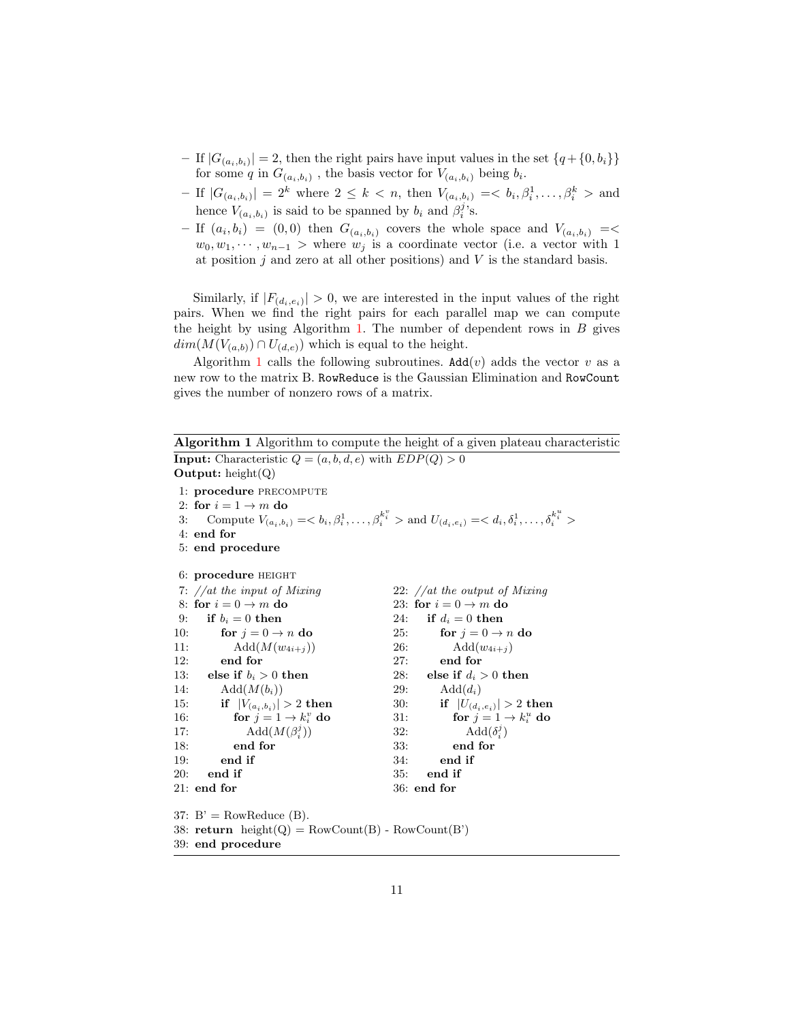- If  $|G_{(a_i,b_i)}| = 2$ , then the right pairs have input values in the set  $\{q + \{0, b_i\}\}\$ for some q in  $G_{(a_i,b_i)}$ , the basis vector for  $V_{(a_i,b_i)}$  being  $b_i$ .
- If  $|G_{(a_i,b_i)}| = 2^k$  where  $2 \leq k < n$ , then  $V_{(a_i,b_i)} = \langle b_i, \beta_i^1, \ldots, \beta_i^k \rangle$  and hence  $V_{(a_i, b_i)}$  is said to be spanned by  $b_i$  and  $\beta_i^j$ 's.
- $-$  If  $(a_i, b_i) = (0, 0)$  then  $G_{(a_i, b_i)}$  covers the whole space and  $V_{(a_i, b_i)} = \leq$  $w_0, w_1, \dots, w_{n-1} >$  where  $w_j$  is a coordinate vector (i.e. a vector with 1 at position  $j$  and zero at all other positions) and  $V$  is the standard basis.

Similarly, if  $|F_{(d_i,e_i)}| > 0$ , we are interested in the input values of the right pairs. When we find the right pairs for each parallel map we can compute the height by using Algorithm [1.](#page-10-0) The number of dependent rows in  $B$  gives  $dim(M(V_{(a,b)}) \cap U_{(d,e)})$  which is equal to the height.

Algorithm [1](#page-10-0) calls the following subroutines.  $\text{Add}(v)$  adds the vector v as a new row to the matrix B. RowReduce is the Gaussian Elimination and RowCount gives the number of nonzero rows of a matrix.

Algorithm 1 Algorithm to compute the height of a given plateau characteristic **Input:** Characteristic  $Q = (a, b, d, e)$  with  $EDP(Q) > 0$ **Output:** height $(Q)$ 1: procedure PRECOMPUTE

```
2: for i = 1 \rightarrow m do
 3: Compute V_{(a_i, b_i)} = \langle b_i, \beta_i^1, \dots, \beta_i^{k_i^v} \rangle and U_{(d_i, e_i)} = \langle d_i, \delta_i^1, \dots, \delta_i^{k_i^u} \rangle4: end for
 5: end procedure
 6: procedure HEIGHT
 7: //at the input of Mixing
 8: for i = 0 \rightarrow m do
9: if b_i = 0 then
10: for j = 0 \rightarrow n do
11: Add(M(w_{4i+j}))12: end for
13: else if b_i > 0 then
14: \mathrm{Add}(M(b_i))15: if |V_{(a_i,b_i)}| > 2 then
16: for j = 1 \rightarrow k_i^v do
17: \text{Add}(M(\beta_i^j))18: end for
19: end if
20: end if
21: end for
                                              22: //at the output of Mixing
                                              23: for i = 0 \rightarrow m do
                                              24: if d_i = 0 then
                                              25: for j = 0 \rightarrow n do
                                              26: \text{Add}(w_{4i+j})27: end for
                                              28: else if d_i > 0 then
                                              29: \text{Add}(d_i)30: if |U_{(d_i,e_i)}| > 2 then
                                              31: for j = 1 \rightarrow k_i^u do
                                              32: \qquad \qquad \text{Add}(\delta_i^j)33: end for
                                              34: end if
                                              35: end if
                                              36: end for
37: B' = RowReduce(B).
```
<span id="page-10-0"></span>38:  $return \ height(Q) = RowCount(B) - RowCount(B')$ 

39: end procedure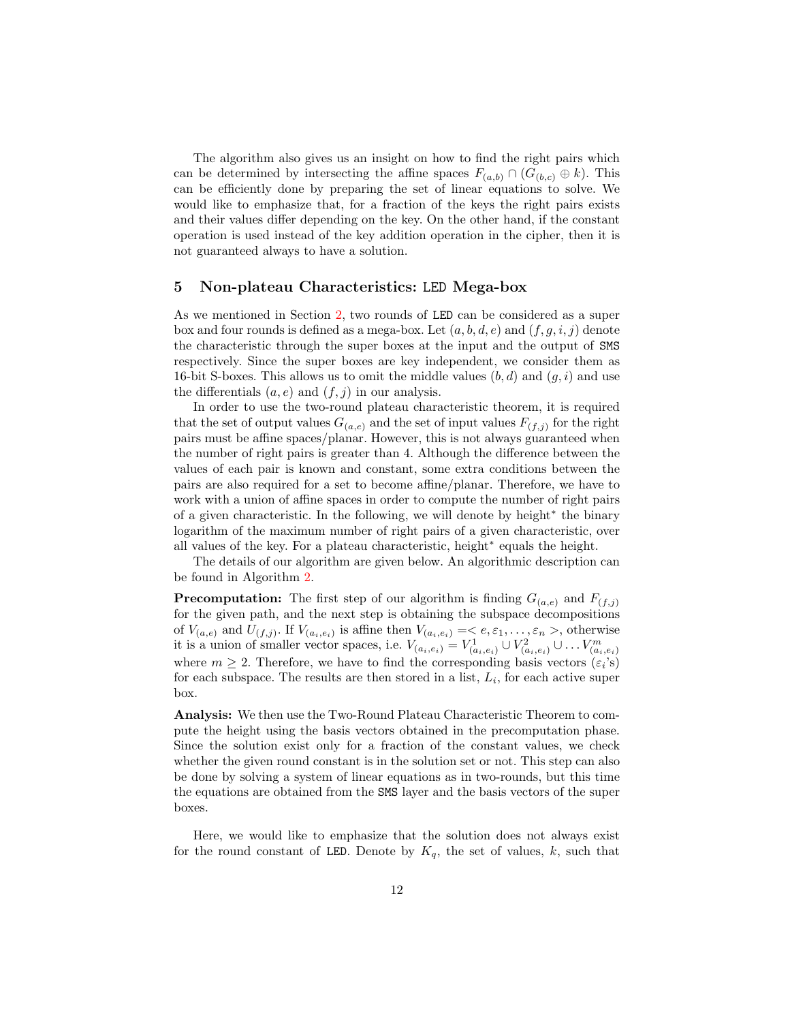The algorithm also gives us an insight on how to find the right pairs which can be determined by intersecting the affine spaces  $F_{(a,b)} \cap (G_{(b,c)} \oplus k)$ . This can be efficiently done by preparing the set of linear equations to solve. We would like to emphasize that, for a fraction of the keys the right pairs exists and their values differ depending on the key. On the other hand, if the constant operation is used instead of the key addition operation in the cipher, then it is not guaranteed always to have a solution.

### <span id="page-11-0"></span>5 Non-plateau Characteristics: LED Mega-box

As we mentioned in Section [2,](#page-2-0) two rounds of LED can be considered as a super box and four rounds is defined as a mega-box. Let  $(a, b, d, e)$  and  $(f, g, i, j)$  denote the characteristic through the super boxes at the input and the output of SMS respectively. Since the super boxes are key independent, we consider them as 16-bit S-boxes. This allows us to omit the middle values  $(b, d)$  and  $(q, i)$  and use the differentials  $(a, e)$  and  $(f, j)$  in our analysis.

In order to use the two-round plateau characteristic theorem, it is required that the set of output values  $G_{(a,e)}$  and the set of input values  $F_{(f,j)}$  for the right pairs must be affine spaces/planar. However, this is not always guaranteed when the number of right pairs is greater than 4. Although the difference between the values of each pair is known and constant, some extra conditions between the pairs are also required for a set to become affine/planar. Therefore, we have to work with a union of affine spaces in order to compute the number of right pairs of a given characteristic. In the following, we will denote by height<sup>∗</sup> the binary logarithm of the maximum number of right pairs of a given characteristic, over all values of the key. For a plateau characteristic, height<sup>∗</sup> equals the height.

The details of our algorithm are given below. An algorithmic description can be found in Algorithm [2.](#page-12-1)

**Precomputation:** The first step of our algorithm is finding  $G_{(a,e)}$  and  $F_{(f,j)}$ for the given path, and the next step is obtaining the subspace decompositions of  $V_{(a,e)}$  and  $U_{(f,j)}$ . If  $V_{(a_i,e_i)}$  is affine then  $V_{(a_i,e_i)} = \langle e, \varepsilon_1, \ldots, \varepsilon_n \rangle$ , otherwise it is a union of smaller vector spaces, i.e.  $V_{(a_i,e_i)} = V^1_{(a_i,e_i)} \cup V^2_{(a_i,e_i)} \cup \ldots V^m_{(a_i,e_i)}$ where  $m \geq 2$ . Therefore, we have to find the corresponding basis vectors  $(\varepsilon_i)$ 's) for each subspace. The results are then stored in a list,  $L_i$ , for each active super box.

Analysis: We then use the Two-Round Plateau Characteristic Theorem to compute the height using the basis vectors obtained in the precomputation phase. Since the solution exist only for a fraction of the constant values, we check whether the given round constant is in the solution set or not. This step can also be done by solving a system of linear equations as in two-rounds, but this time the equations are obtained from the SMS layer and the basis vectors of the super boxes.

Here, we would like to emphasize that the solution does not always exist for the round constant of LED. Denote by  $K_q$ , the set of values, k, such that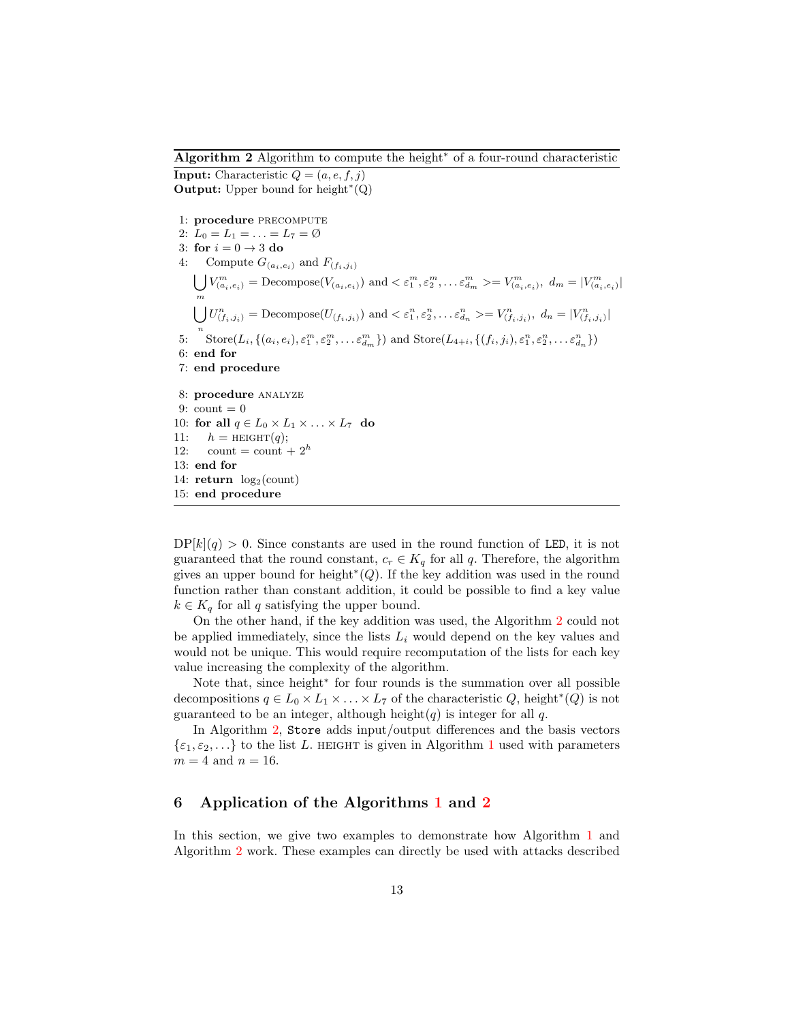#### Algorithm 2 Algorithm to compute the height<sup>∗</sup> of a four-round characteristic

**Input:** Characteristic  $Q = (a, e, f, j)$ Output: Upper bound for height $*(Q)$ 

1: procedure PRECOMPUTE 2:  $L_0 = L_1 = \ldots = L_7 = \emptyset$ 3: for  $i = 0 \rightarrow 3$  do 4: Compute  $G_{(a_i,e_i)}$  and  $F_{(f_i,f_i)}$  $\bigcup V^m_{(a_i,e_i)} = \text{Decompose}(V_{(a_i,e_i)})$  and  $\langle \varepsilon^m_1, \varepsilon^m_2, \dots \varepsilon^m_{d_m} \rangle = V^m_{(a_i,e_i)}, d_m = |V^m_{(a_i,e_i)}|$ m  $\bigcup U_{(f_i,j_i)}^n = \text{Decompose}(U_{(f_i,j_i)})$  and  $\langle \varepsilon_1^n, \varepsilon_2^n, \dots \varepsilon_{d_n}^n \rangle = V_{(f_i,j_i)}^n$ ,  $d_n = |V_{(f_i,j_i)}^n|$ 5:  $\int_0^{\infty} \text{Store}(L_i, \{(a_i, e_i), \varepsilon_1^m, \varepsilon_2^m, \dots \varepsilon_{d_m}^m\})$  and  $\text{Store}(L_{4+i}, \{(f_i, j_i), \varepsilon_1^n, \varepsilon_2^n, \dots \varepsilon_{d_n}^n\})$ 6: end for 7: end procedure 8: procedure analyze 9: count  $= 0$ 10: for all  $q \in L_0 \times L_1 \times \ldots \times L_7$  do 11:  $h = \text{HEIGHT}(q);$ 12: count = count +  $2^h$ 13: end for 14:  $return \log_2(count)$ 15: end procedure

<span id="page-12-1"></span> $DP[k](q) > 0$ . Since constants are used in the round function of LED, it is not guaranteed that the round constant,  $c_r \in K_q$  for all q. Therefore, the algorithm gives an upper bound for height<sup>\*</sup>( $Q$ ). If the key addition was used in the round function rather than constant addition, it could be possible to find a key value  $k \in K_q$  for all q satisfying the upper bound.

On the other hand, if the key addition was used, the Algorithm [2](#page-12-1) could not be applied immediately, since the lists  $L_i$  would depend on the key values and would not be unique. This would require recomputation of the lists for each key value increasing the complexity of the algorithm.

Note that, since height<sup>\*</sup> for four rounds is the summation over all possible decompositions  $q \in L_0 \times L_1 \times \ldots \times L_7$  of the characteristic  $Q$ , height<sup>\*</sup>( $Q$ ) is not guaranteed to be an integer, although height(q) is integer for all q.

In Algorithm [2,](#page-12-1) Store adds input/output differences and the basis vectors  $\{\varepsilon_1,\varepsilon_2,\ldots\}$  $\{\varepsilon_1,\varepsilon_2,\ldots\}$  $\{\varepsilon_1,\varepsilon_2,\ldots\}$  to the list L. HEIGHT is given in Algorithm 1 used with parameters  $m = 4$  and  $n = 16$ .

## <span id="page-12-0"></span>6 Application of the Algorithms [1](#page-10-0) and [2](#page-12-1)

In this section, we give two examples to demonstrate how Algorithm [1](#page-10-0) and Algorithm [2](#page-12-1) work. These examples can directly be used with attacks described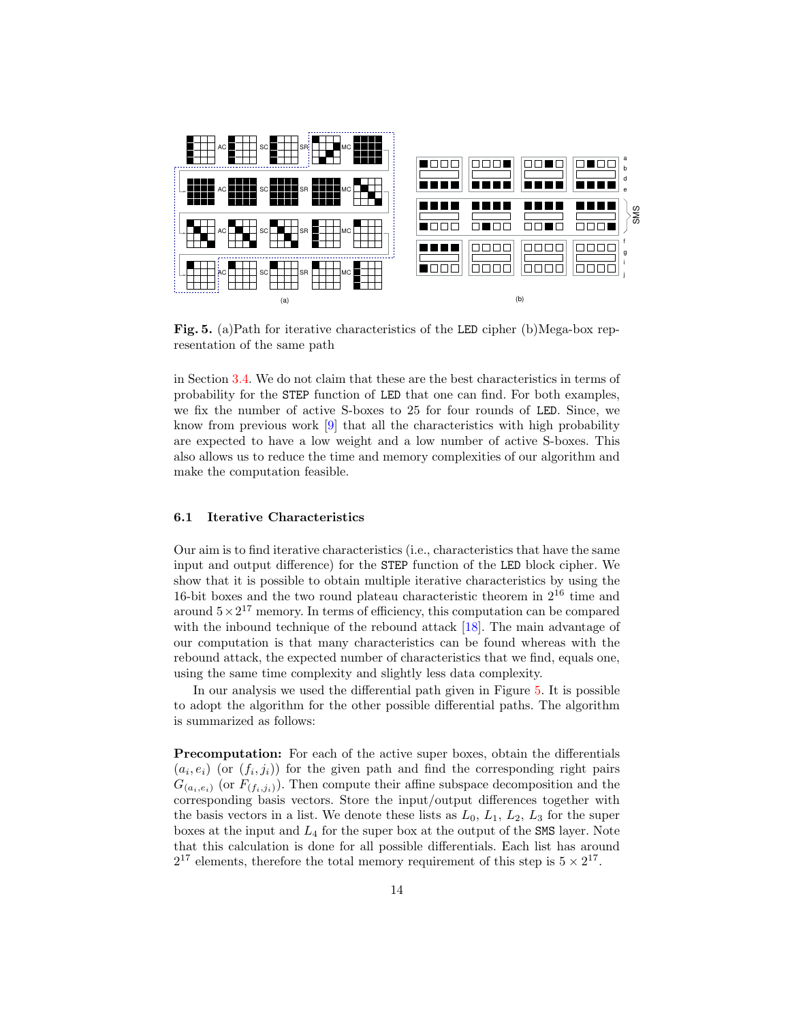

<span id="page-13-0"></span>Fig. 5. (a)Path for iterative characteristics of the LED cipher (b)Mega-box representation of the same path

in Section [3.4.](#page-6-1) We do not claim that these are the best characteristics in terms of probability for the STEP function of LED that one can find. For both examples, we fix the number of active S-boxes to 25 for four rounds of LED. Since, we know from previous work [\[9\]](#page-17-10) that all the characteristics with high probability are expected to have a low weight and a low number of active S-boxes. This also allows us to reduce the time and memory complexities of our algorithm and make the computation feasible.

#### 6.1 Iterative Characteristics

Our aim is to find iterative characteristics (i.e., characteristics that have the same input and output difference) for the STEP function of the LED block cipher. We show that it is possible to obtain multiple iterative characteristics by using the 16-bit boxes and the two round plateau characteristic theorem in 2<sup>16</sup> time and around  $5 \times 2^{17}$  memory. In terms of efficiency, this computation can be compared with the inbound technique of the rebound attack [\[18\]](#page-17-13). The main advantage of our computation is that many characteristics can be found whereas with the rebound attack, the expected number of characteristics that we find, equals one, using the same time complexity and slightly less data complexity.

In our analysis we used the differential path given in Figure [5.](#page-13-0) It is possible to adopt the algorithm for the other possible differential paths. The algorithm is summarized as follows:

Precomputation: For each of the active super boxes, obtain the differentials  $(a_i, e_i)$  (or  $(f_i, j_i)$ ) for the given path and find the corresponding right pairs  $G_{(a_i,e_i)}$  (or  $F_{(f_i,j_i)}$ ). Then compute their affine subspace decomposition and the corresponding basis vectors. Store the input/output differences together with the basis vectors in a list. We denote these lists as  $L_0$ ,  $L_1$ ,  $L_2$ ,  $L_3$  for the super boxes at the input and  $L_4$  for the super box at the output of the SMS layer. Note that this calculation is done for all possible differentials. Each list has around  $2^{17}$  elements, therefore the total memory requirement of this step is  $5 \times 2^{17}$ .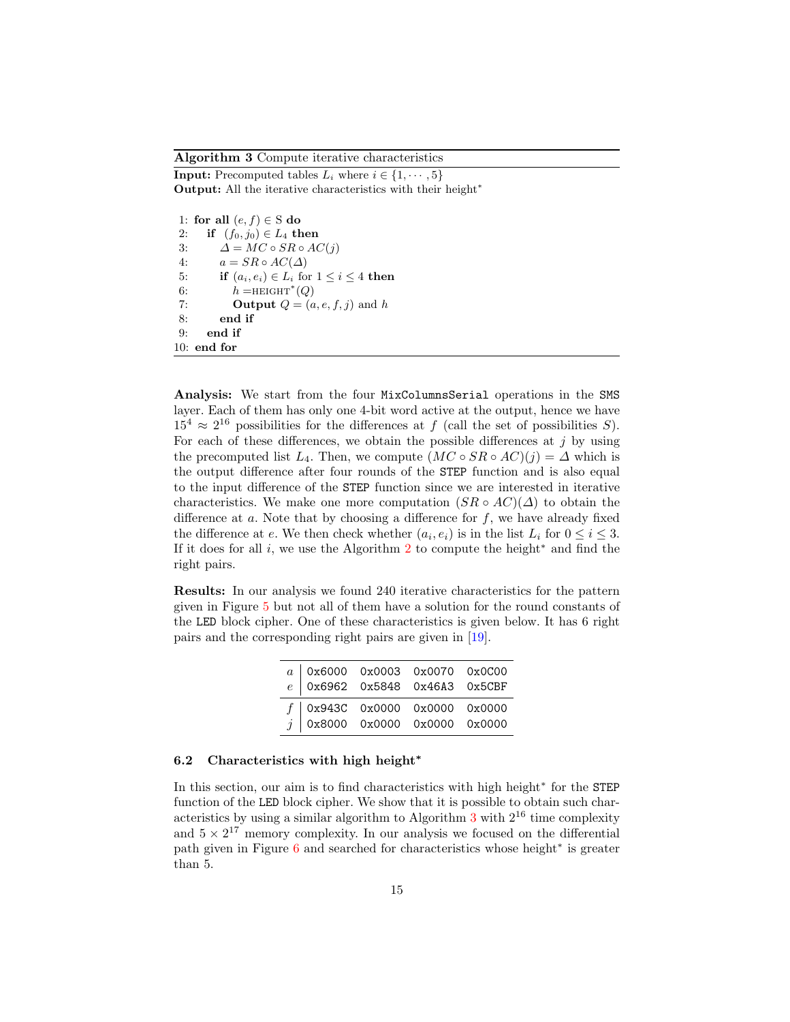Algorithm 3 Compute iterative characteristics

**Input:** Precomputed tables  $L_i$  where  $i \in \{1, \dots, 5\}$ Output: All the iterative characteristics with their height<sup>∗</sup>

1: for all  $(e, f) \in S$  do 2: if  $(f_0, j_0) \in L_4$  then 3:  $\Delta = MC \circ SR \circ AC(j)$ 4:  $a = SR \circ AC(\Delta)$ 5: if  $(a_i, e_i) \in L_i$  for  $1 \leq i \leq 4$  then 6:  $h = \text{HEIGHT}^*(Q)$ 7: **Output**  $Q = (a, e, f, j)$  and h 8: end if 9: end if 10: end for

<span id="page-14-0"></span>Analysis: We start from the four MixColumnsSerial operations in the SMS layer. Each of them has only one 4-bit word active at the output, hence we have  $15^4 \approx 2^{16}$  possibilities for the differences at f (call the set of possibilities S). For each of these differences, we obtain the possible differences at  $j$  by using the precomputed list  $L_4$ . Then, we compute  $(MC \circ SR \circ AC)(j) = \Delta$  which is the output difference after four rounds of the STEP function and is also equal to the input difference of the STEP function since we are interested in iterative characteristics. We make one more computation  $(SR \circ AC)(\Delta)$  to obtain the difference at  $a$ . Note that by choosing a difference for  $f$ , we have already fixed the difference at e. We then check whether  $(a_i, e_i)$  is in the list  $L_i$  for  $0 \le i \le 3$ . If it does for all i, we use the Algorithm [2](#page-12-1) to compute the height<sup>\*</sup> and find the right pairs.

Results: In our analysis we found 240 iterative characteristics for the pattern given in Figure [5](#page-13-0) but not all of them have a solution for the round constants of the LED block cipher. One of these characteristics is given below. It has 6 right pairs and the corresponding right pairs are given in [\[19\]](#page-17-5).

| $\begin{array}{c cccccc} a & 0x6000 & 0x0003 & 0x0070 & 0x0000 \\ e & 0x6962 & 0x5848 & 0x46A3 & 0x5CBF \end{array}$ |                                                                                                                                                                                                                                   |  |
|----------------------------------------------------------------------------------------------------------------------|-----------------------------------------------------------------------------------------------------------------------------------------------------------------------------------------------------------------------------------|--|
|                                                                                                                      |                                                                                                                                                                                                                                   |  |
|                                                                                                                      | $\left. \begin{array}{c cc} f & 0 \texttt{x} 943 \texttt{C} & 0 \texttt{x} 0000 & 0 \texttt{x} 0000 & 0 \texttt{x} 0000 \\ j & 0 \texttt{x} 8000 & 0 \texttt{x} 0000 & 0 \texttt{x} 0000 & 0 \texttt{x} 0000 \end{array} \right.$ |  |
|                                                                                                                      |                                                                                                                                                                                                                                   |  |

## 6.2 Characteristics with high height<sup>\*</sup>

In this section, our aim is to find characteristics with high height<sup>∗</sup> for the STEP function of the LED block cipher. We show that it is possible to obtain such characteristics by using a similar algorithm to Algorithm  $3$  with  $2^{16}$  time complexity and  $5 \times 2^{17}$  memory complexity. In our analysis we focused on the differential path given in Figure [6](#page-15-0) and searched for characteristics whose height<sup>∗</sup> is greater than 5.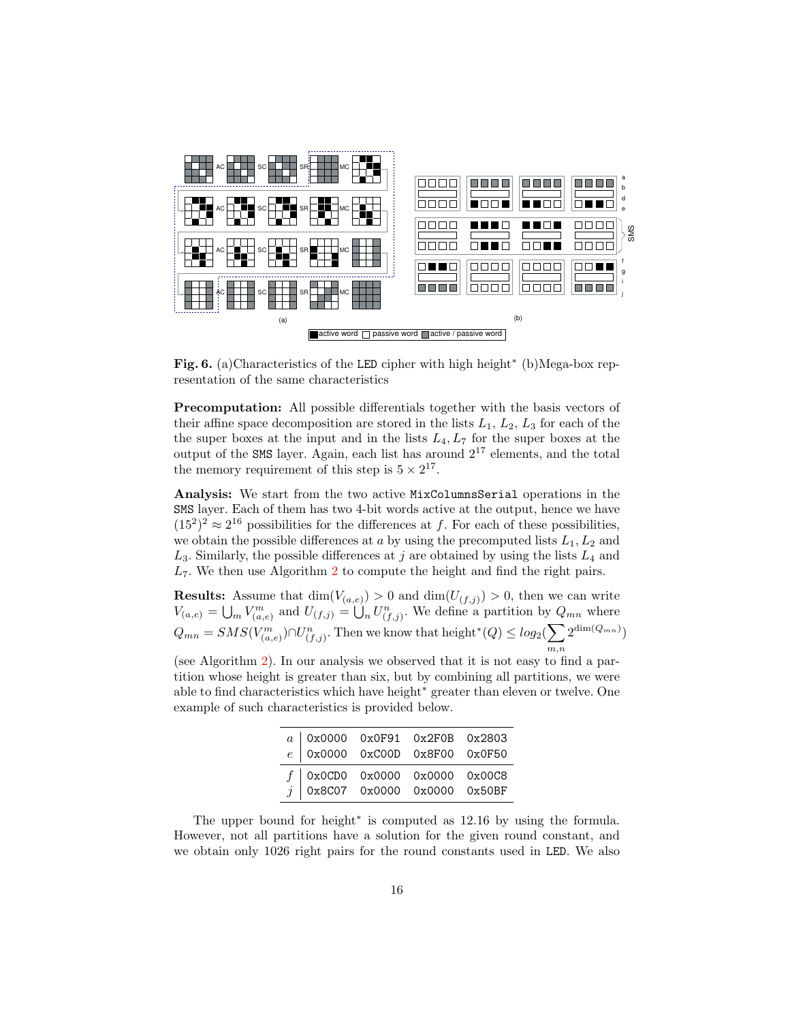

<span id="page-15-0"></span>Fig. 6. (a)Characteristics of the LED cipher with high height<sup>\*</sup> (b)Mega-box representation of the same characteristics

**Precomputation:** All possible differentials together with the basis vectors of their affine space decomposition are stored in the lists  $L_1, L_2, L_3$  for each of the the super boxes at the input and in the lists  $L_4, L_7$  for the super boxes at the output of the SMS layer. Again, each list has around  $2^{17}$  elements, and the total the memory requirement of this step is  $5 \times 2^{17}$ .

Analysis: We start from the two active MixColumnsSerial operations in the SMS layer. Each of them has two 4-bit words active at the output, hence we have  $(15^2)^2 \approx 2^{16}$  possibilities for the differences at f. For each of these possibilities, we obtain the possible differences at  $a$  by using the precomputed lists  $L_1, L_2$  and  $L_3$ . Similarly, the possible differences at j are obtained by using the lists  $L_4$  and  $L_7$ . We then use Algorithm [2](#page-12-1) to compute the height and find the right pairs.

**Results:** Assume that  $\dim(V_{(a,e)}) > 0$  and  $\dim(U_{(f,j)}) > 0$ , then we can write  $V_{(a,e)} = \bigcup_m V_{(a,e)}^m$  and  $U_{(f,j)} = \bigcup_n U_{(f,j)}^n$ . We define a partition by  $Q_{mn}$  where  $Q_{mn} = SMS(V^m_{(a,e)}) \cap U^n_{(f,j)}$ . Then we know that height\* $(Q) \leq log_2(\sum$  $m,n$  $2^{\dim(Q_{mn})})$ 

(see Algorithm [2\)](#page-12-1). In our analysis we observed that it is not easy to find a partition whose height is greater than six, but by combining all partitions, we were able to find characteristics which have height<sup>∗</sup> greater than eleven or twelve. One example of such characteristics is provided below.

|  | $\begin{array}{c cccc} a & 0 \ge 0000 & 0 \ge 0 \texttt{F91} & 0 \ge 2 \texttt{F0B} & 0 \ge 2803 \\ e & 0 \ge 0000 & 0 \ge 0000 & 0 \ge 8 \texttt{F00} & 0 \ge 0 \texttt{F50} \end{array}$ |  |
|--|--------------------------------------------------------------------------------------------------------------------------------------------------------------------------------------------|--|
|  | $\begin{array}{c ccccc} f & 0x0CDO & 0x0000 & 0x0000 & 0x00C8 \\ j & 0x8C07 & 0x0000 & 0x0000 & 0x50BF \end{array}$                                                                        |  |
|  |                                                                                                                                                                                            |  |

The upper bound for height<sup>∗</sup> is computed as 12.16 by using the formula. However, not all partitions have a solution for the given round constant, and we obtain only 1026 right pairs for the round constants used in LED. We also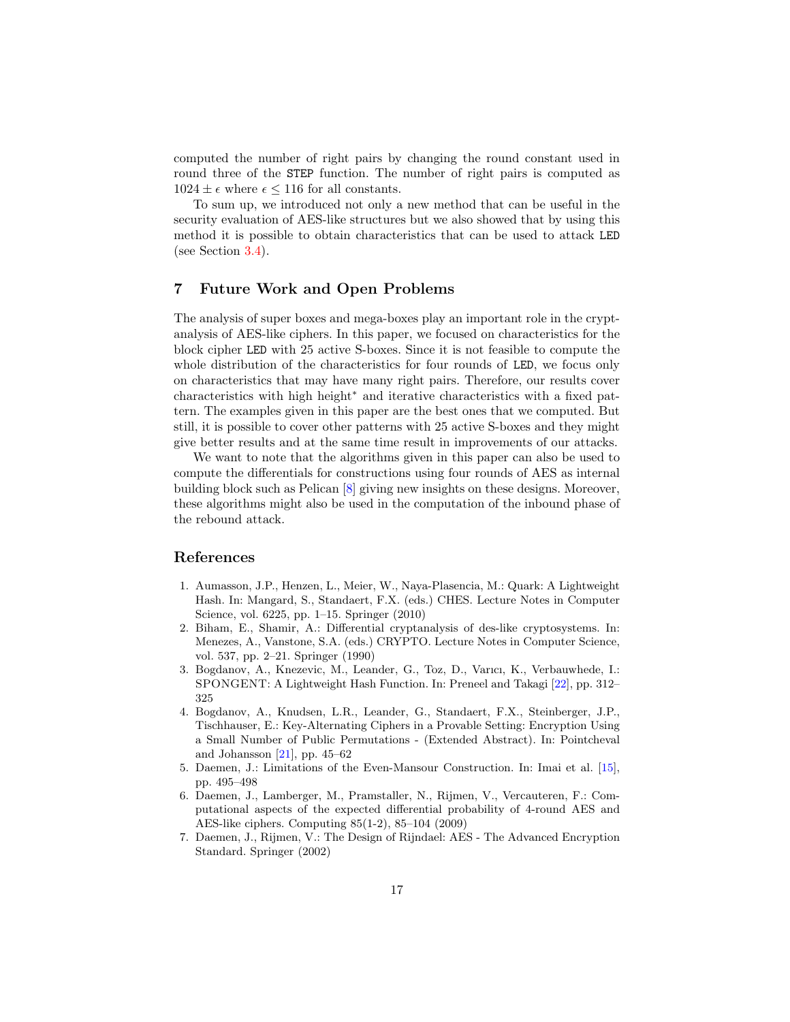computed the number of right pairs by changing the round constant used in round three of the STEP function. The number of right pairs is computed as  $1024 \pm \epsilon$  where  $\epsilon \le 116$  for all constants.

To sum up, we introduced not only a new method that can be useful in the security evaluation of AES-like structures but we also showed that by using this method it is possible to obtain characteristics that can be used to attack LED (see Section [3.4\)](#page-6-1).

## 7 Future Work and Open Problems

The analysis of super boxes and mega-boxes play an important role in the cryptanalysis of AES-like ciphers. In this paper, we focused on characteristics for the block cipher LED with 25 active S-boxes. Since it is not feasible to compute the whole distribution of the characteristics for four rounds of LED, we focus only on characteristics that may have many right pairs. Therefore, our results cover characteristics with high height<sup>∗</sup> and iterative characteristics with a fixed pattern. The examples given in this paper are the best ones that we computed. But still, it is possible to cover other patterns with 25 active S-boxes and they might give better results and at the same time result in improvements of our attacks.

We want to note that the algorithms given in this paper can also be used to compute the differentials for constructions using four rounds of AES as internal building block such as Pelican [\[8\]](#page-17-14) giving new insights on these designs. Moreover, these algorithms might also be used in the computation of the inbound phase of the rebound attack.

## References

- <span id="page-16-0"></span>1. Aumasson, J.P., Henzen, L., Meier, W., Naya-Plasencia, M.: Quark: A Lightweight Hash. In: Mangard, S., Standaert, F.X. (eds.) CHES. Lecture Notes in Computer Science, vol. 6225, pp. 1–15. Springer (2010)
- <span id="page-16-6"></span>2. Biham, E., Shamir, A.: Differential cryptanalysis of des-like cryptosystems. In: Menezes, A., Vanstone, S.A. (eds.) CRYPTO. Lecture Notes in Computer Science, vol. 537, pp. 2–21. Springer (1990)
- <span id="page-16-1"></span>3. Bogdanov, A., Knezevic, M., Leander, G., Toz, D., Varıcı, K., Verbauwhede, I.: SPONGENT: A Lightweight Hash Function. In: Preneel and Takagi [\[22\]](#page-17-15), pp. 312– 325
- <span id="page-16-2"></span>4. Bogdanov, A., Knudsen, L.R., Leander, G., Standaert, F.X., Steinberger, J.P., Tischhauser, E.: Key-Alternating Ciphers in a Provable Setting: Encryption Using a Small Number of Public Permutations - (Extended Abstract). In: Pointcheval and Johansson  $[21]$ , pp. 45–62
- <span id="page-16-3"></span>5. Daemen, J.: Limitations of the Even-Mansour Construction. In: Imai et al. [\[15\]](#page-17-17), pp. 495–498
- <span id="page-16-4"></span>6. Daemen, J., Lamberger, M., Pramstaller, N., Rijmen, V., Vercauteren, F.: Computational aspects of the expected differential probability of 4-round AES and AES-like ciphers. Computing 85(1-2), 85–104 (2009)
- <span id="page-16-5"></span>7. Daemen, J., Rijmen, V.: The Design of Rijndael: AES - The Advanced Encryption Standard. Springer (2002)